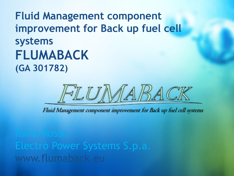**Fluid Management component improvement for Back up fuel cell systems FLUMABACK (GA 301782)**



Fluid Management component improvement for Back up fuel cell systems

www.flumaback.eu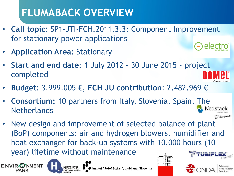# **FLUMABACK OVERVIEW**

- **Call topic**: SP1-JTI-FCH.2011.3.3: Component Improvement for stationary power applications AlActro
- **Application Area**: Stationary
- **Start and end date**: 1 July 2012 30 June 2015 project completed
- **Budget**: 3.999.005 €, **FCH JU contribution**: 2.482.969 €
- **Consortium:** 10 partners from Italy, Slovenia, Spain, The **Netherlands**
- New design and improvement of selected balance of plant (BoP) components: air and hydrogen blowers, humidifier and heat exchanger for back-up systems with 10,000 hours (10 year) lifetime without maintenance





Institut "Jožef Stefan", Liubliana, Slovenija







Fbe sure.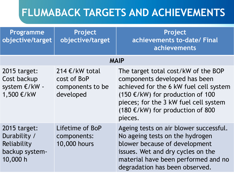| Programme<br>objective/target                                             | Project<br>objective/target                                    | Project<br>achievements to-date/ Final<br>achievements                                                                                                                                                                                                     |  |  |
|---------------------------------------------------------------------------|----------------------------------------------------------------|------------------------------------------------------------------------------------------------------------------------------------------------------------------------------------------------------------------------------------------------------------|--|--|
| <b>MAIP</b>                                                               |                                                                |                                                                                                                                                                                                                                                            |  |  |
| 2015 target:<br>Cost backup<br>system €/kW -<br>1,500 €/kW                | 214 €/kW total<br>cost of BoP<br>components to be<br>developed | The target total cost/kW of the BOP<br>components developed has been<br>achieved for the 6 kW fuel cell system<br>$(150 \text{ €/kW})$ for production of 100<br>pieces; for the 3 kW fuel cell system<br>$(180 \t{ε/kW})$ for production of 800<br>pieces. |  |  |
| 2015 target:<br>Durability /<br>Reliability<br>backup system-<br>10,000 h | Lifetime of BoP<br>components:<br>10,000 hours                 | Ageing tests on air blower successful.<br>No ageing tests on the hydrogen<br>blower because of development<br>issues. Wet and dry cycles on the<br>material have been performed and no<br>degradation has been observed.                                   |  |  |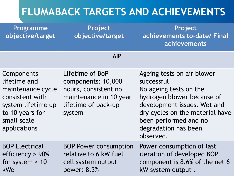| <b>Programme</b><br>objective/target                                                                                                       | Project<br>objective/target                                                                                              | Project<br>achievements to-date/ Final<br>achievements                                                                                                                                                                            |
|--------------------------------------------------------------------------------------------------------------------------------------------|--------------------------------------------------------------------------------------------------------------------------|-----------------------------------------------------------------------------------------------------------------------------------------------------------------------------------------------------------------------------------|
|                                                                                                                                            | <b>AIP</b>                                                                                                               |                                                                                                                                                                                                                                   |
| Components<br>lifetime and<br>maintenance cycle<br>consistent with<br>system lifetime up<br>to 10 years for<br>small scale<br>applications | Lifetime of BoP<br>components: 10,000<br>hours, consistent no<br>maintenance in 10 year<br>lifetime of back-up<br>system | Ageing tests on air blower<br>successful.<br>No ageing tests on the<br>hydrogen blower because of<br>development issues. Wet and<br>dry cycles on the material have<br>been performed and no<br>degradation has been<br>observed. |
| <b>BOP Electrical</b><br>efficiency $> 90\%$<br>for system $<$ 10<br>kWe                                                                   | <b>BOP Power consumption</b><br>relative to 6 kW fuel<br>cell system output<br>power: 8.3%                               | Power consumption of last<br>iteration of developed BOP<br>component is 8.6% of the net 6<br>kW system output.                                                                                                                    |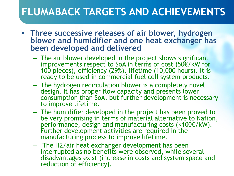- **Three successive releases of air blower, hydrogen blower and humidifier and one heat exchanger has been developed and delivered**
	- The air blower developed in the project shows significant improvements respect to SoA in terms of cost (50€/kW for 100 pieces), efficiency (29%), lifetime (10,000 hours). It is ready to be used in commercial fuel cell system products.
	- The hydrogen recirculation blower is a completely novel design. It has proper flow capacity and presents lower consumption than SoA, but further development is necessary to improve lifetime.
	- The humidifier developed in the project has been proved to be very promising in terms of material alternative to Nafion, performance, design and manufacturing costs (<100€/kW). Further development activities are required in the manufacturing process to improve lifetime.
	- The H2/air heat exchanger development has been interrupted as no benefits were observed, while several disadvantages exist (increase in costs and system space and reduction of efficiency).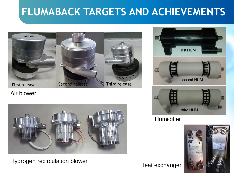

Air blower



#### Hydrogen recirculation blower



**Humidifier** 



Heat exchanger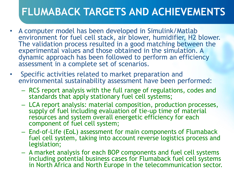- A computer model has been developed in Simulink/Matlab environment for fuel cell stack, air blower, humidifier, H2 blower. The validation process resulted in a good matching between the experimental values and those obtained in the simulation. A dynamic approach has been followed to perform an efficiency assessment in a complete set of scenarios.
- Specific activities related to market preparation and environmental sustainability assessment have been performed:
	- RCS report analysis with the full range of regulations, codes and standards that apply stationary fuel cell systems;
	- LCA report analysis: material composition, production processes, supply of fuel including evaluation of tie-up time of material resources and system overall energetic efficiency for each component of fuel cell system;
	- End-of-Life (EoL) assessment for main components of Flumaback fuel cell system, taking into account reverse logistics process and legislation;
	- A market analysis for each BOP components and fuel cell systems including potential business cases for Flumaback fuel cell systems in North Africa and North Europe in the telecommunication sector.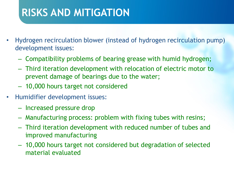## **RISKS AND MITIGATION**

- Hydrogen recirculation blower (instead of hydrogen recirculation pump) development issues:
	- Compatibility problems of bearing grease with humid hydrogen;
	- Third iteration development with relocation of electric motor to prevent damage of bearings due to the water;
	- 10,000 hours target not considered
- Humidifier development issues:
	- Increased pressure drop
	- Manufacturing process: problem with fixing tubes with resins;
	- Third iteration development with reduced number of tubes and improved manufacturing
	- 10,000 hours target not considered but degradation of selected material evaluated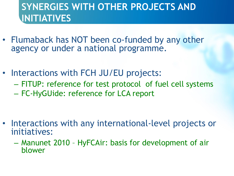#### **SYNERGIES WITH OTHER PROJECTS AND INITIATIVES**

- Flumaback has NOT been co-funded by any other agency or under a national programme.
- Interactions with FCH JU/EU projects:
	- FITUP: reference for test protocol of fuel cell systems
	- FC-HyGUide: reference for LCA report

- Interactions with any international-level projects or initiatives:
	- Manunet 2010 HyFCAir: basis for development of air blower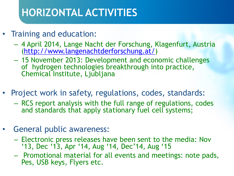# **HORIZONTAL ACTIVITIES**

- Training and education:
	- 4 April 2014, Lange Nacht der Forschung, Klagenfurt, Austria ([http://www.langenachtderforschung.at/\)](http://www.langenachtderforschung.at/)
	- 15 November 2013: Development and economic challenges of hydrogen technologies breakthrough into practice, Chemical Institute, Ljubljana
- Project work in safety, regulations, codes, standards:
	- RCS report analysis with the full range of regulations, codes and standards that apply stationary fuel cell systems;
- General public awareness:
	- Electronic press releases have been sent to the media: Nov '13, Dec '13, Apr '14, Aug '14, Dec'14, Aug '15
	- Promotional material for all events and meetings: note pads, Pes, USB keys, Flyers etc.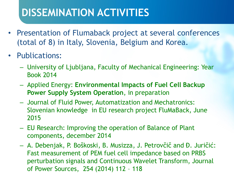## **DISSEMINATION ACTIVITIES**

- Presentation of Flumaback project at several conferences (total of 8) in Italy, Slovenia, Belgium and Korea.
- Publications:
	- University of Ljubljana, Faculty of Mechanical Engineering: Year Book 2014
	- Applied Energy: **Environmental Impacts of Fuel Cell Backup Power Supply System Operation**, in preparation
	- Journal of Fluid Power, Automatization and Mechatronics: Slovenian knowledge in EU research project FluMaBack, June 2015
	- EU Research: Improving the operation of Balance of Plant components, december 2014
	- A. Debenjak, P. Boškoski, B. Musizza, J. Petrovčič and Đ. Juričić: Fast measurement of PEM fuel cell impedance based on PRBS perturbation signals and Continuous Wavelet Transform, Journal of Power Sources, 254 (2014) 112 – 118